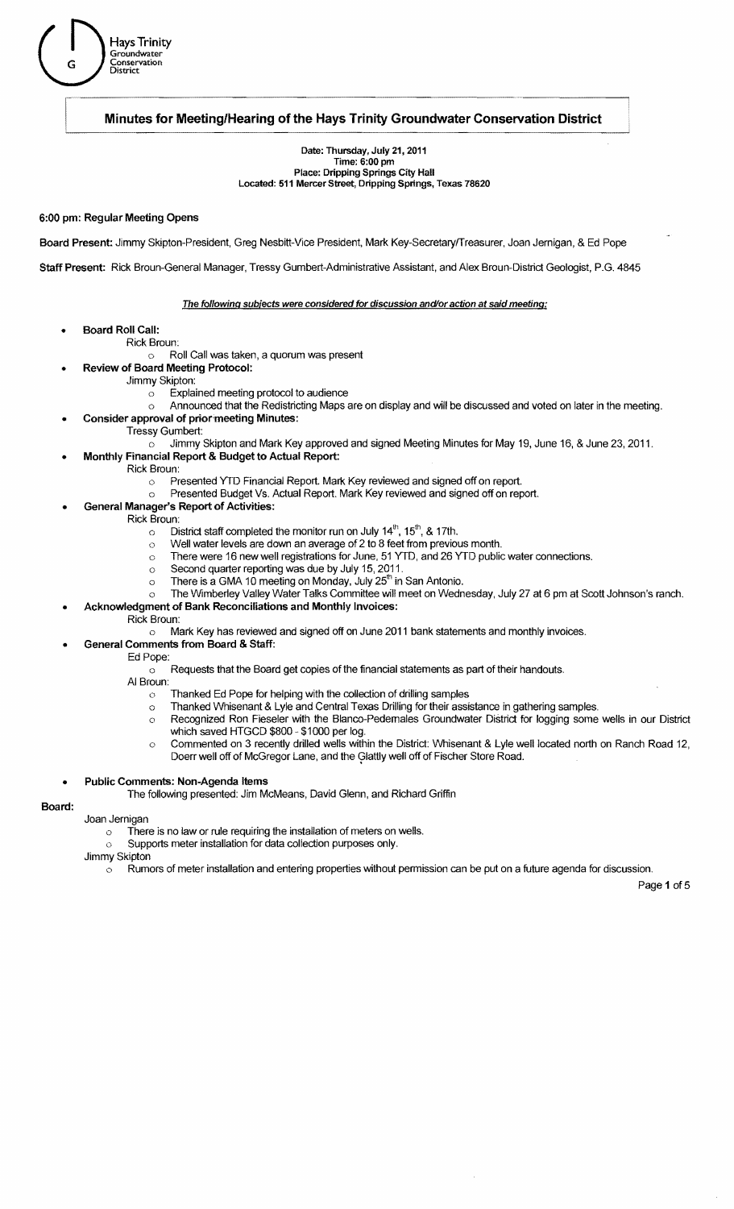# Minutes for Meeting/Hearing of the Hays Trinity Groundwater Conservation District

### Date: Thursday, July 21, 2011 Time: 6:00 pm Place: Dripping Springs City Hall Located: 511 Mercer Street, Dripping Springs, Texas 78620

## 6:00 pm: Regular Meeting Opens

Board Present: Jimmy Skipton-President, Greg Nesbitt-Vice President, Mark Key-SecretaryfTreasurer, Joan Jemigan, & Ed Pope

Staff Present: Rick Broun-General Manager, Tressy Gumbert-Administrative Assistant, and Alex Broun-District Geologist, P.G. 4845

### The following subjects were considered for discussion and/or action at said meeting:

- Board Roll Call:
	- Rick Broun:
		- Roll Call was taken, a quorum was present  $\circ$
- Review of Board Meeting Protocol:
	- Jimmy Skipton:
		- o Explained meeting protocol to audience
		- $\circ$  Announced that the Redistricting Maps are on display and will be discussed and voted on later in the meeting.
	- Consider approval of prior meeting Minutes:
		- Tressy Gumbert:
			- Jimmy Skipton and Mark Key approved and signed Meeting Minutes for May 19, June 16, & June 23, 2011.  $\circ$
	- Monthly Financial Report & Budget to Actual Report:
- Rick Broun:
	- o Presented YTD Financial Report. Mark Key reviewed and signed off on report.
	- o Presented Budget Vs. Actual Report. Mark Key reviewed and signed off on report.
	- General Manager's Report of Activities:
- Rick Broun:
	- $\sim$  District staff completed the monitor run on July 14<sup>th</sup>, 15<sup>th</sup>, & 17th.
	- $\circ$  Well water levels are down an average of 2 to 8 feet from previous month.
	- o There were 16 new well registrations for June, 51 YTD, and 26 YTD public water connections.
		- o Second quarter reporting was due by July 15, 2011.
		- $\circ$  There is a GMA 10 meeting on Monday, July 25<sup>th</sup> in San Antonio.
	- o The Wimberley Valley Water Talks Committee will meet on Wednesday, July 27 at 6 pm at Scott Johnson's ranch.
	- Acknowledgment of Bank Reconciliations and Monthly Invoices:
- Rick Broun:
	- o Mark Key has reviewed and signed off on June 2011 bank statements and monthly invoices.
	- General Comments from Board & Staff:
		- Ed Pope:
			- $\circ$  Requests that the Board get copies of the financial statements as part of their handouts.
		- AI Broun:
			- $\circ$  Thanked Ed Pope for helping with the collection of drilling samples
			- o Thanked Whisenant & Lyle and Central Texas Drilling for their assistance in gathering samples.
			- o Recognized Ron Fieseler with the Blanco-Pedemales Groundwater District for logging some wells in our District which saved HTGCD \$800 - \$1000 per log.
				- o Commented on 3 recently drilled wells within the District: Whisenant & Lyle well located north on Ranch Road 12, Doerr well off of McGregor Lane, and the Glattly well off of Fischer Store Road.

### Public Comments: Non-Agenda Items

The following presented: Jim McMeans, David Glenn, and Richard Griffin

### Board:

- Joan Jernigan
	- $\circ$  There is no law or rule requiring the installation of meters on wells.
	- o Supports meter installation for data collection purposes only.
- Jimmy Skipton
	- $\circ$  Rumors of meter installation and entering properties without permission can be put on a future agenda for discussion.

Page 1 of 5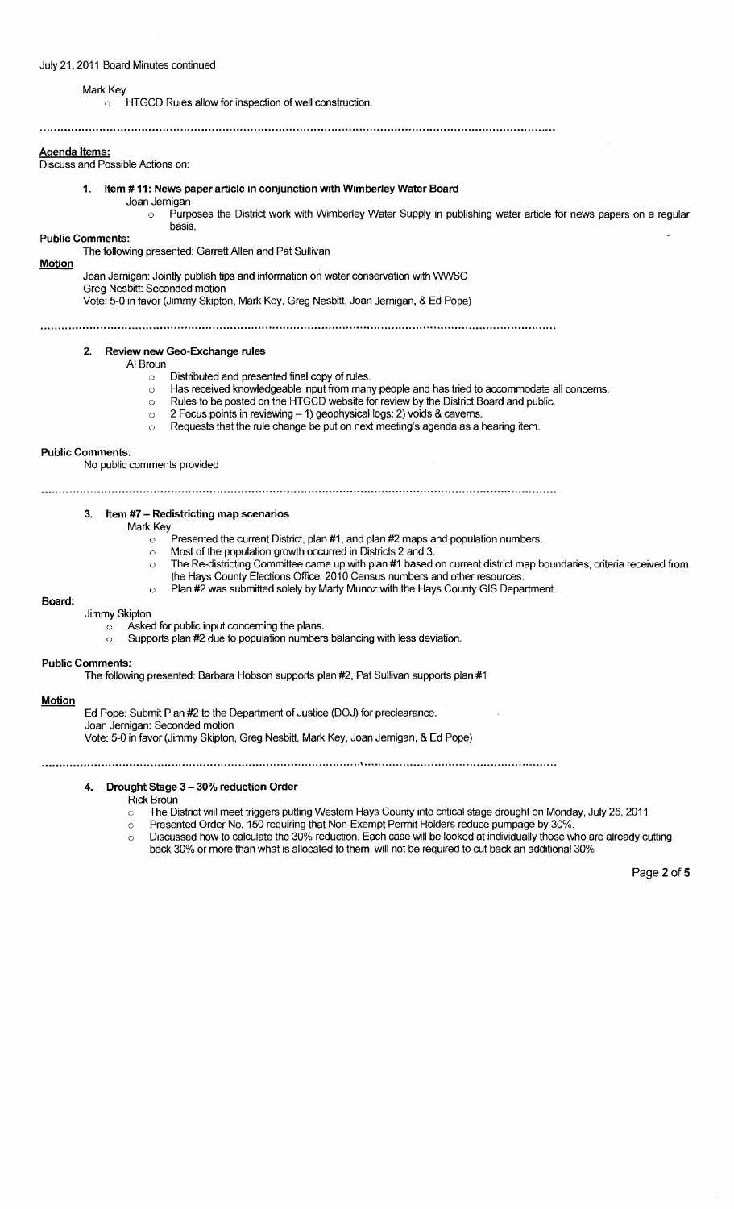### Mark Key

o HTGCD Rules allow for inspection of well construction.

### Agenda Items:

Discuss and Possible Actions on:

### 1. Item # 11: News paper article in conjunction with Wimberley Water Board

Joan Jernigan

Purposes the District work with Wimberley Water Supply in publishing water article for news papers on a regular basis.

### Public Comments:

The following presented: Garrett Allen and Pat Sullivan

### Motion

Joan Jernigan: Jointly publish tips and information on water conservation with WNSC

Greg Nesbitt: Seconded motion

Vote: 5-0 in favor (Jimmy Skipton, Mark Key, Greg Nesbitt, Joan Jernigan, & Ed Pope)

### 2. Review new Geo-Exchange rules

AI Broun

- o Distributed and presented final copy of rules.
- o Has received knowledgeable input from many people and has tried to accommodate all concerns.
- o Rules to be posted on the HTGCD website for review by the District Board and public.
	- $\circ$  2 Focus points in reviewing 1) geophysical logs; 2) voids & caverns.
	- $\circ$  Requests that the rule change be put on next meeting's agenda as a hearing item.

### Public Comments:

No public comments provided

# 

## 3. Item #7 - Redistricting map scenarios

Mark Key

- $\circ$  Presented the current District, plan #1, and plan #2 maps and population numbers.
- $\circ$  Most of the population growth occurred in Districts 2 and 3.
- $\circ$  The Re-districting Committee came up with plan #1 based on current district map boundaries, criteria received from
- the Hays County Elections Office, 2010 Census numbers and other resources. o Plan #2 was submitted solely by Marty Munoz with the Hays County GIS Department.
- Board:

### Jimmy Skipton

- c Asked for public input conceming the plans.
- o Supports plan #2 due to population numbers balancing with less deviation.

#### Public Comments:

The following presented: Barbara Hobson supports plan #2, Pat Sullivan supports plan #1

### **Motion**

Ed Pope: Submit Plan #2 to the Department of Justice (DOJ) for preclearance. Joan Jernigan: Seconded motion Vote: 5-0 in favor (Jimmy Skipton, Greg Nesbitt, Mark Key, Joan Jernigan, & Ed Pope)

\* ..... ,. •• ,.~" ~ .... " ............. " ... " ................ "" ...... " ................. " ........ " .................. " ............. .o." ............" ......... ~ .. " ....... o ••• ~ ......... " .. ~ .... " .... " •• " .... ,." .... ,. •• " " ........ ,.

### 4. Drought Stage 3 - 30% reduction Order

Rick Broun

- The District will meet triggers putting Western Hays County into critical stage drought on Monday, July 25, 2011  $\circ$
- c Presented Order No. 150 requiring that Non-Exempt Permit Holders reduce purnpage by 30%.
- o Discussed how to calculate the 30% reduction. Each case will be looked at individually those who are already cutting back 30% or more than what is allocated to them will not be required to cut back an additional 30%

Page 2 of 5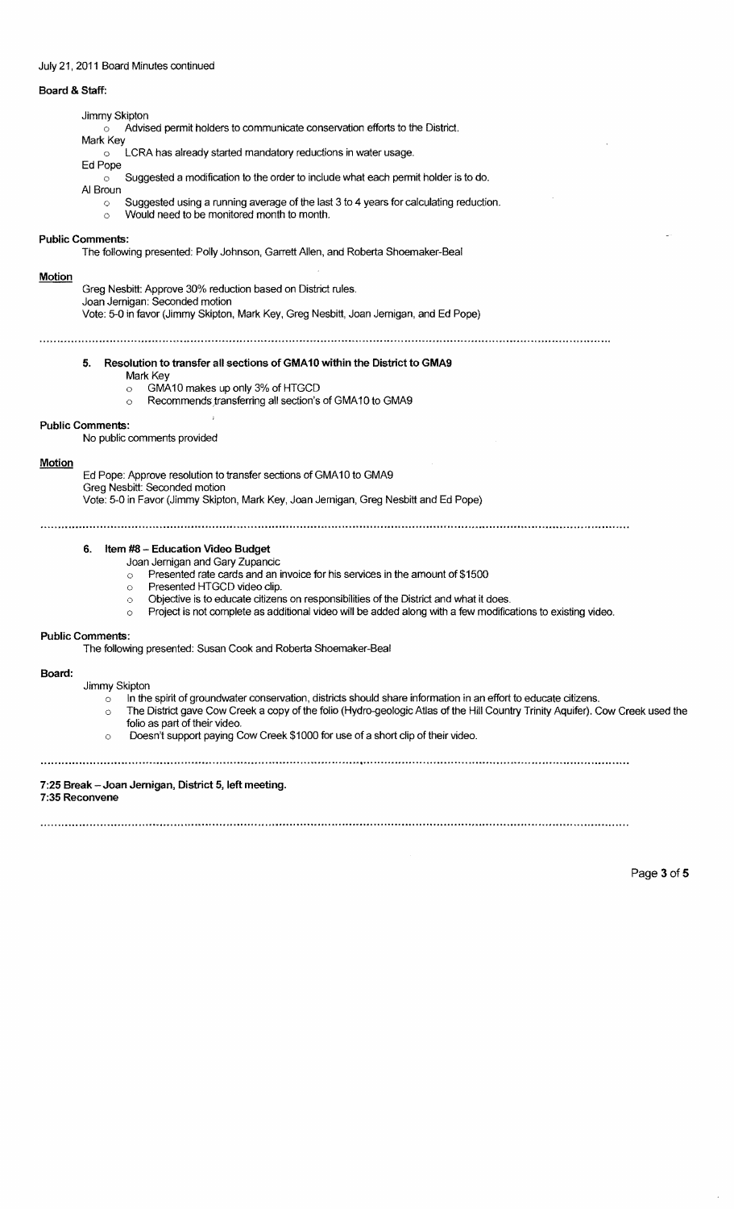## July 21,2011 Board Minutes continued

## Board & Staff:

# Jimmy Skipton

Advised permit holders to communicate conservation efforts to the District.

Mark Key o LCRA has already started mandatory reductions in water usage.

Ed Pope

Suggested a modification to the order to include what each permit holder is to do.  $\circ$ 

- AI Broun
	- o Suggested using a running average of the last 3 to 4 years for calculating reduction.
	- o Would need to be monitored month to month.

### Public Comments:

The following presented: Polly Johnson, Garrett Allen, and Roberta Shoemaker-Beal

### **Motion**

Greg Nesbitt: Approve 30% reduction based on District rules.

### Joan Jernigan: Seconded motion

Vote: 5-0 in favor (Jimmy Skipton, Mark Key, Greg Nesbitt, Joan Jernigan, and Ed Pope)

## 5. Resolution to transfer all sections of GMA10 within the District to GMA9

Mark Key

 $\circ$  $\circ$ 

- GMA10 makes up only 3% of HTGCD
	- Recommends transferring all section's of GMA10 to GMA9

### **Public Comments:**

No public comments provided

### Motion

Ed Pope: Approve resolution to transfer sections of GMA10 to GMA9 Greg Nesbitt: Seconded motion Vote: 5-0 in Favor (Jimmy Sklpton, Mark Key, Joan Jernigan, Greg Nesbitt and Ed Pope)

## 6. Item #8 - Education Video Budget

Joan Jernigan and Gary Zupancic

o Presented rate cards and an invoice for his services in the amount of \$1500

- o Presented HTGCD video clip.
- o Objective is to educate citizens on responsibilities of the District and what it does.
- $\circ$  Project is not complete as additional video will be added along with a few modifications to existing video.

### Public Comments:

The following presented: Susan Cook and Roberta Shoemaker-Beal

### Board:

Jimmy Skipton

- $\circ$  In the spirit of groundwater conservation, districts should share information in an effort to educate citizens.
- o The District gave Cow Creek a copy of the folio (Hydro-geologic Atlas of the Hill Country Trinity Aquifer). Cow Creek used the folio as part of their video.
- o Doesn't support paying Cow Creek \$1000 for use of a short clip of their video.

### 7:25 Break - Joan Jernigan, District 5, left meeting. 7:35 Reconvene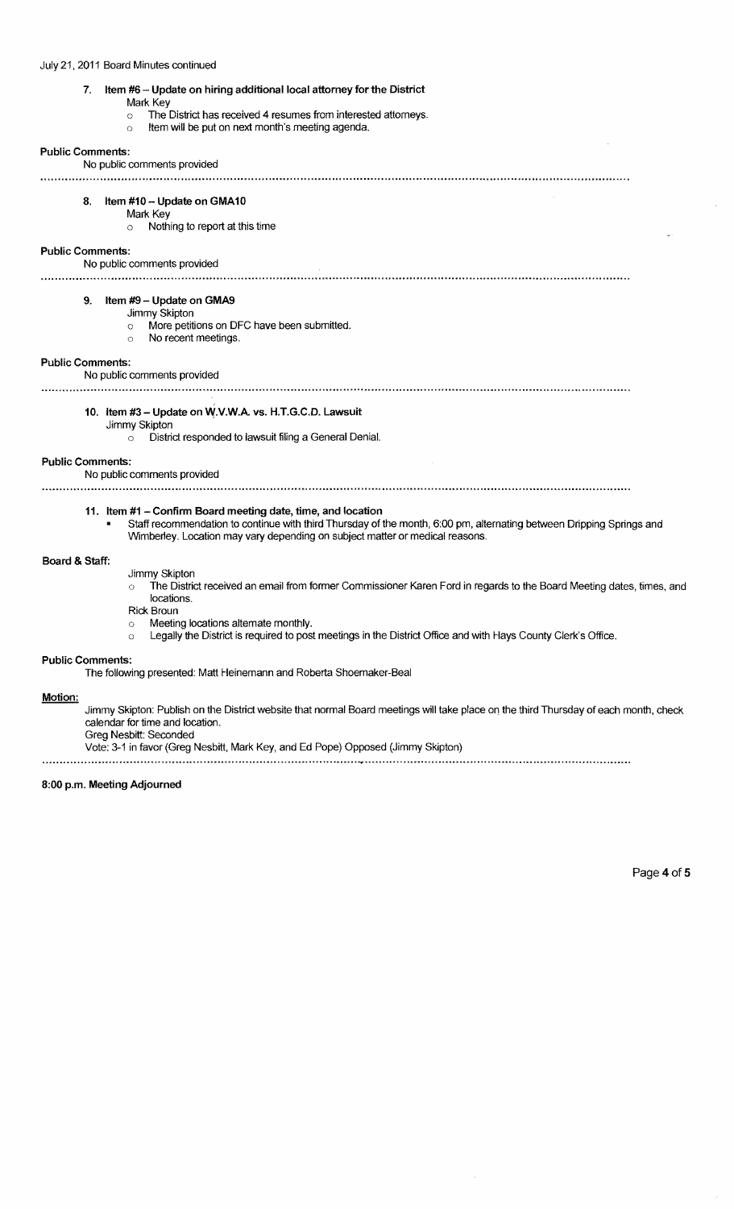# 7. Item #6 - Update on hiring additional local attorney for the District

### Mark Key

- $\sim$  The District has received 4 resumes from interested attomeys.
- o Item will be put on next month's meeting agenda.

## Public Comments:

No public comments provided 8. Item #10 - Update on GMA10 Mark Key  $\circ$  Nothing to report at this time Public Comments: No public comments provided 9. Item #9 - Update on GMA9 Jimmy Skipton o More petitions on DFC have been submitted. o No recent meetings. Public Comments: No public comments provided 10. Item #3 - Update on W.V.W.A. vs. H.T.G.C.D. Lawsuit Jimmy Skipton o District responded to lawsuit filing a General Denial. Public Comments: No public comments provided 11. Item #1 - Confirm Board meeting date, time, and location Staff recommendation to continue with third Thursday of the month, 6:00 pm, alternating between Dripping Springs and Wimberley. Location may vary depending on subject matter or medical reasons.

## Board & Staff:

- Jimmy Skipton
- The District received an email from former Commissioner Karen Ford in regards to the Board Meeting dates, times, and  $\circ$ locations.
- Rick Broun
- o Meeting locations altemate monthly.
- o Legally the District is required to post meetings in the District Office and with Hays County Clerk's Office.

### Public Comments:

The following presented: Matt Heinemann and Roberta Shoemaker-Beal

### Motion:

Jimmy Skipton: Publish on the District website that normal Board meetings will take place on the third Thursday of each month, check calendar for time and location.

Greg Nesbitt: Seconded

Vote: 3-1 in favor (Greg Nesbitt, Mark Key, and Ed Pope) Opposed (Jimmy Skipton)

# 8:00 p.m. Meeting Adjourned